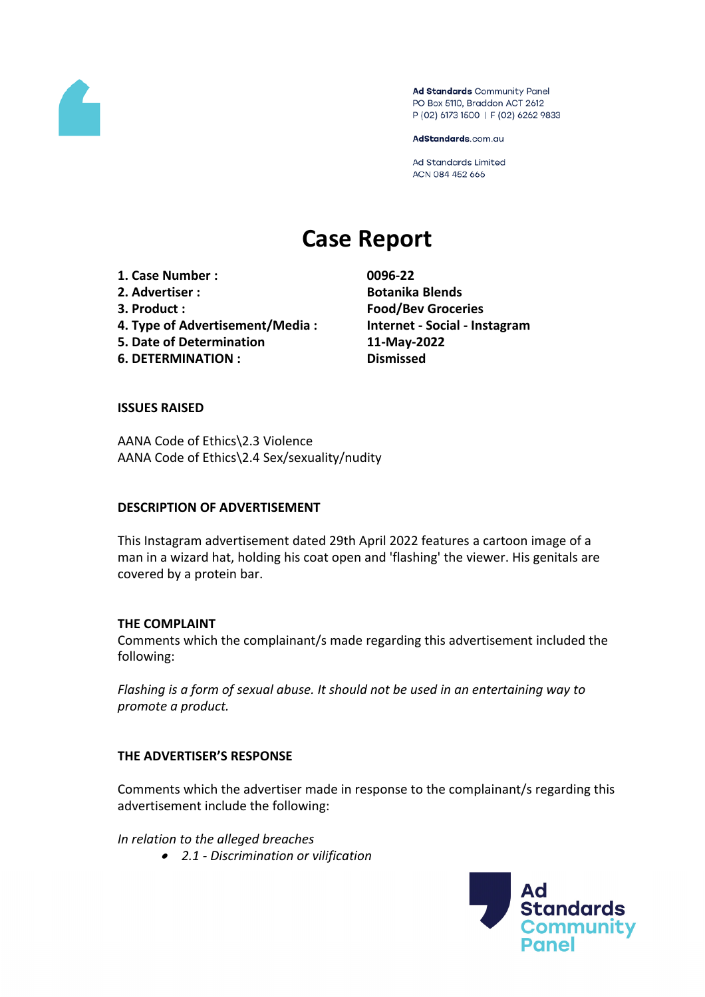

Ad Standards Community Panel PO Box 5110, Braddon ACT 2612 P (02) 6173 1500 | F (02) 6262 9833

AdStandards.com.au

Ad Standards Limited ACN 084 452 666

# **Case Report**

**1. Case Number : 0096-22 2. Advertiser : Botanika Blends 3. Product : Food/Bev Groceries 4. Type of Advertisement/Media : Internet - Social - Instagram 5. Date of Determination 11-May-2022 6. DETERMINATION : Dismissed**

## **ISSUES RAISED**

AANA Code of Ethics\2.3 Violence AANA Code of Ethics\2.4 Sex/sexuality/nudity

## **DESCRIPTION OF ADVERTISEMENT**

This Instagram advertisement dated 29th April 2022 features a cartoon image of a man in a wizard hat, holding his coat open and 'flashing' the viewer. His genitals are covered by a protein bar.

## **THE COMPLAINT**

Comments which the complainant/s made regarding this advertisement included the following:

*Flashing is a form of sexual abuse. It should not be used in an entertaining way to promote a product.*

## **THE ADVERTISER'S RESPONSE**

Comments which the advertiser made in response to the complainant/s regarding this advertisement include the following:

*In relation to the alleged breaches*

*2.1 - Discrimination or vilification*

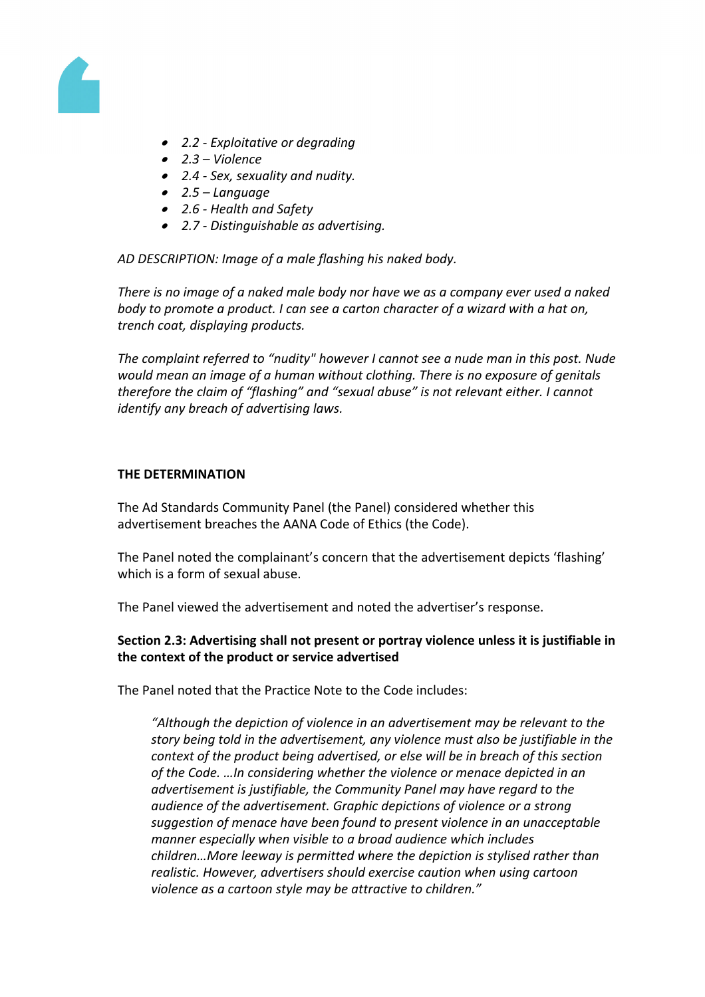

- *2.2 - Exploitative or degrading*
- *2.3 – Violence*
- *2.4 - Sex, sexuality and nudity.*
- *2.5 – Language*
- *2.6 - Health and Safety*
- *2.7 - Distinguishable as advertising.*

*AD DESCRIPTION: Image of a male flashing his naked body.*

*There is no image of a naked male body nor have we as a company ever used a naked body to promote a product. I can see a carton character of a wizard with a hat on, trench coat, displaying products.*

*The complaint referred to "nudity" however I cannot see a nude man in this post. Nude would mean an image of a human without clothing. There is no exposure of genitals therefore the claim of "flashing" and "sexual abuse" is not relevant either. I cannot identify any breach of advertising laws.*

#### **THE DETERMINATION**

The Ad Standards Community Panel (the Panel) considered whether this advertisement breaches the AANA Code of Ethics (the Code).

The Panel noted the complainant's concern that the advertisement depicts 'flashing' which is a form of sexual abuse.

The Panel viewed the advertisement and noted the advertiser's response.

## **Section 2.3: Advertising shall not present or portray violence unless it is justifiable in the context of the product or service advertised**

The Panel noted that the Practice Note to the Code includes:

*"Although the depiction of violence in an advertisement may be relevant to the story being told in the advertisement, any violence must also be justifiable in the context of the product being advertised, or else will be in breach of this section of the Code. …In considering whether the violence or menace depicted in an advertisement is justifiable, the Community Panel may have regard to the audience of the advertisement. Graphic depictions of violence or a strong suggestion of menace have been found to present violence in an unacceptable manner especially when visible to a broad audience which includes children…More leeway is permitted where the depiction is stylised rather than realistic. However, advertisers should exercise caution when using cartoon violence as a cartoon style may be attractive to children."*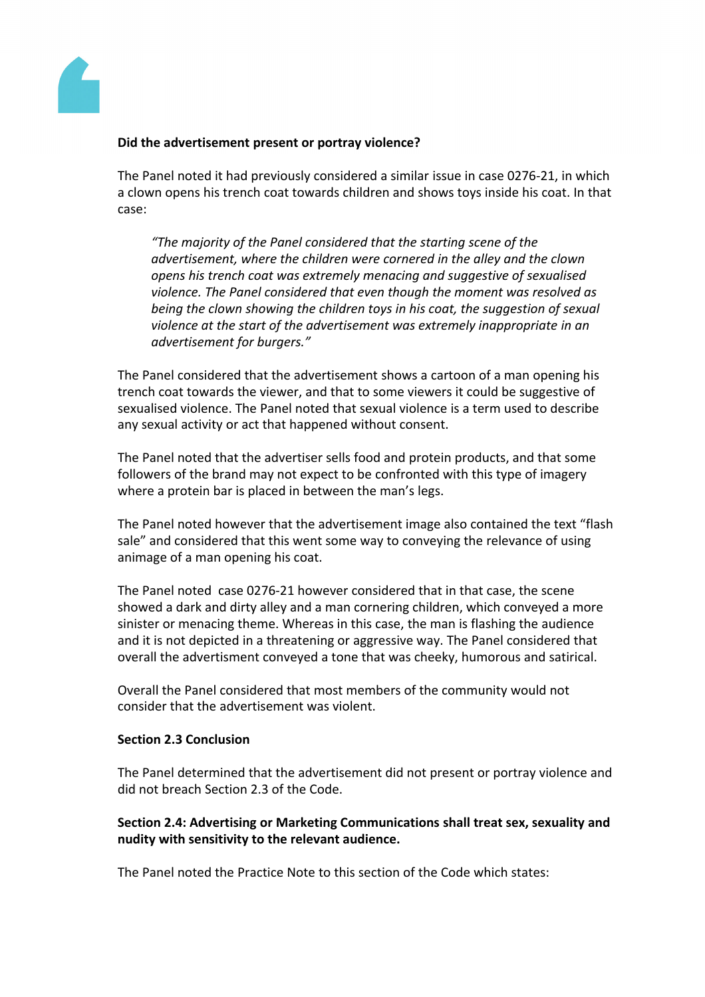

## **Did the advertisement present or portray violence?**

The Panel noted it had previously considered a similar issue in case 0276-21, in which a clown opens his trench coat towards children and shows toys inside his coat. In that case:

*"The majority of the Panel considered that the starting scene of the advertisement, where the children were cornered in the alley and the clown opens his trench coat was extremely menacing and suggestive of sexualised violence. The Panel considered that even though the moment was resolved as being the clown showing the children toys in his coat, the suggestion of sexual violence at the start of the advertisement was extremely inappropriate in an advertisement for burgers."*

The Panel considered that the advertisement shows a cartoon of a man opening his trench coat towards the viewer, and that to some viewers it could be suggestive of sexualised violence. The Panel noted that sexual violence is a term used to describe any sexual activity or act that happened without consent.

The Panel noted that the advertiser sells food and protein products, and that some followers of the brand may not expect to be confronted with this type of imagery where a protein bar is placed in between the man's legs.

The Panel noted however that the advertisement image also contained the text "flash sale" and considered that this went some way to conveying the relevance of using animage of a man opening his coat.

The Panel noted case 0276-21 however considered that in that case, the scene showed a dark and dirty alley and a man cornering children, which conveyed a more sinister or menacing theme. Whereas in this case, the man is flashing the audience and it is not depicted in a threatening or aggressive way. The Panel considered that overall the advertisment conveyed a tone that was cheeky, humorous and satirical.

Overall the Panel considered that most members of the community would not consider that the advertisement was violent.

## **Section 2.3 Conclusion**

The Panel determined that the advertisement did not present or portray violence and did not breach Section 2.3 of the Code.

## **Section 2.4: Advertising or Marketing Communications shall treat sex, sexuality and nudity with sensitivity to the relevant audience.**

The Panel noted the Practice Note to this section of the Code which states: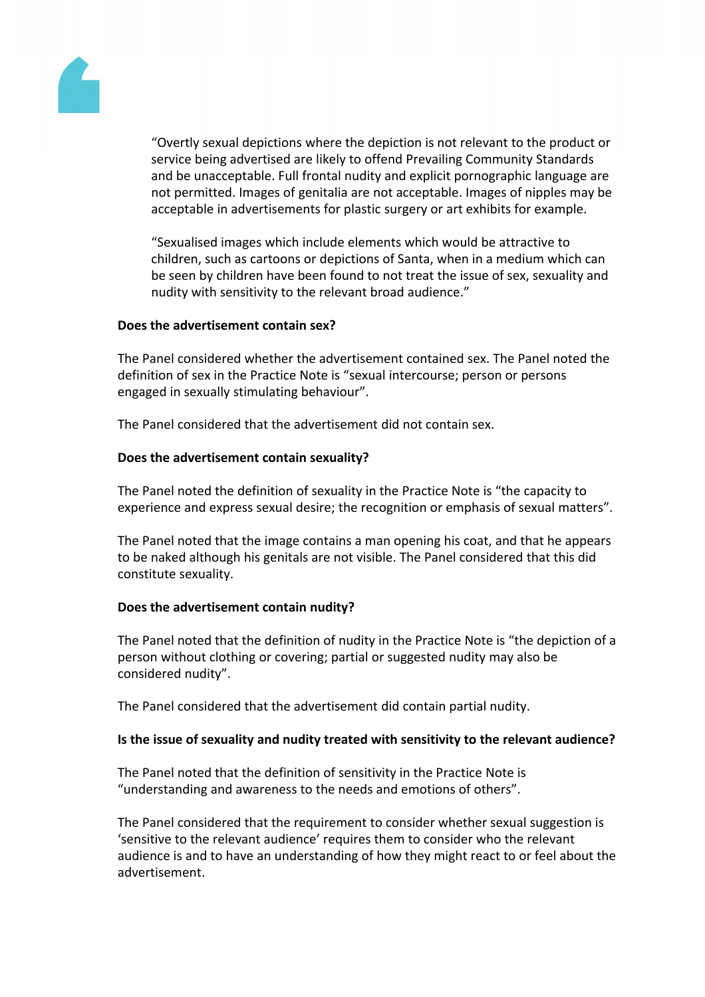

"Overtly sexual depictions where the depiction is not relevant to the product or service being advertised are likely to offend Prevailing Community Standards and be unacceptable. Full frontal nudity and explicit pornographic language are not permitted. Images of genitalia are not acceptable. Images of nipples may be acceptable in advertisements for plastic surgery or art exhibits for example.

"Sexualised images which include elements which would be attractive to children, such as cartoons or depictions of Santa, when in a medium which can be seen by children have been found to not treat the issue of sex, sexuality and nudity with sensitivity to the relevant broad audience."

## **Does the advertisement contain sex?**

The Panel considered whether the advertisement contained sex. The Panel noted the definition of sex in the Practice Note is "sexual intercourse; person or persons engaged in sexually stimulating behaviour".

The Panel considered that the advertisement did not contain sex.

## **Does the advertisement contain sexuality?**

The Panel noted the definition of sexuality in the Practice Note is "the capacity to experience and express sexual desire; the recognition or emphasis of sexual matters".

The Panel noted that the image contains a man opening his coat, and that he appears to be naked although his genitals are not visible. The Panel considered that this did constitute sexuality.

## **Does the advertisement contain nudity?**

The Panel noted that the definition of nudity in the Practice Note is "the depiction of a person without clothing or covering; partial or suggested nudity may also be considered nudity".

The Panel considered that the advertisement did contain partial nudity.

## **Is the issue of sexuality and nudity treated with sensitivity to the relevant audience?**

The Panel noted that the definition of sensitivity in the Practice Note is "understanding and awareness to the needs and emotions of others".

The Panel considered that the requirement to consider whether sexual suggestion is 'sensitive to the relevant audience' requires them to consider who the relevant audience is and to have an understanding of how they might react to or feel about the advertisement.